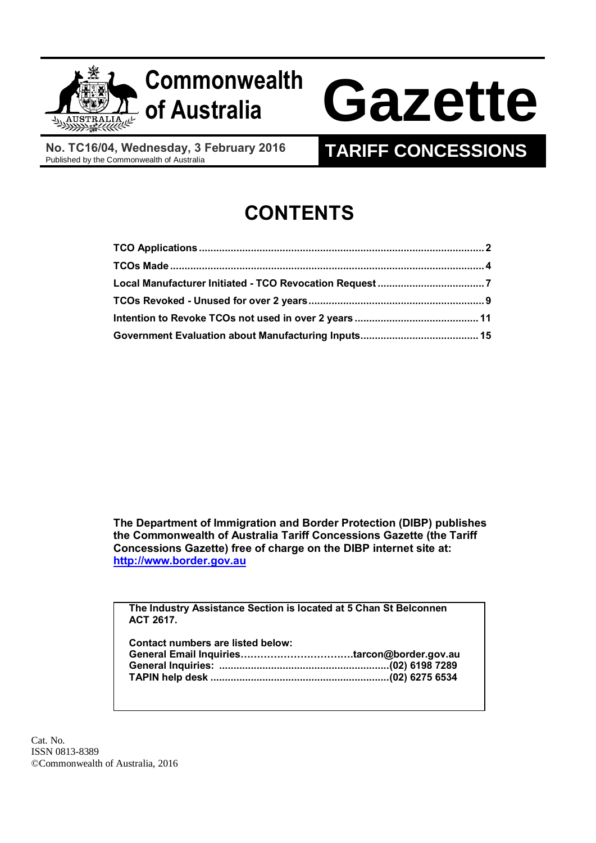

# **Commonwealth**

# **of Australia Gazette**

**No. TC16/04, Wednesday, 3 February 2016**

# **TARIFF CONCESSIONS**

# **CONTENTS**

**The Department of Immigration and Border Protection (DIBP) publishes the Commonwealth of Australia Tariff Concessions Gazette (the Tariff Concessions Gazette) free of charge on the DIBP internet site at: [http://www.border.gov.au](http://www.border.gov.au/)**

**The Industry Assistance Section is located at 5 Chan St Belconnen ACT 2617.**

| Contact numbers are listed below: |  |
|-----------------------------------|--|
|                                   |  |
|                                   |  |
|                                   |  |

Cat. No. ISSN 0813-8389 ©Commonwealth of Australia, 2016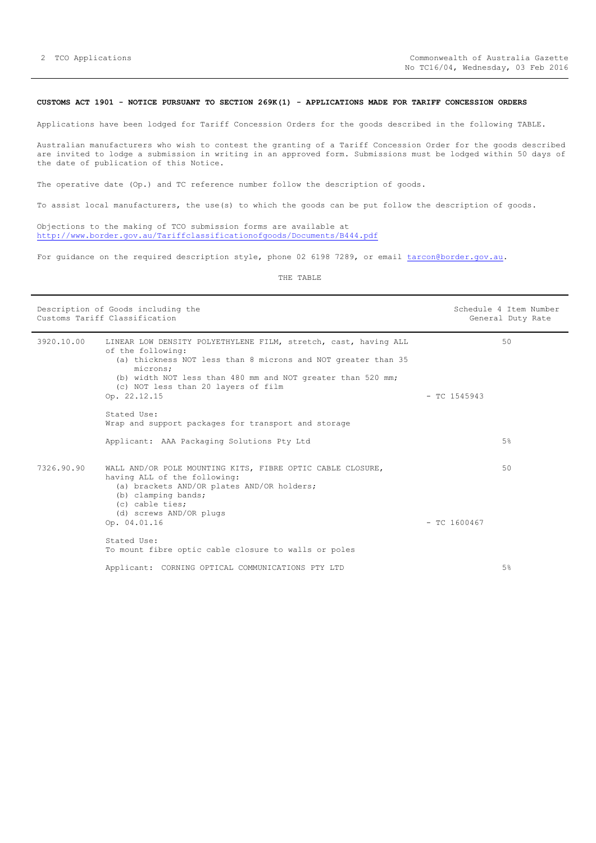# <span id="page-1-0"></span>**CUSTOMS ACT 1901 - NOTICE PURSUANT TO SECTION 269K(1) - APPLICATIONS MADE FOR TARIFF CONCESSION ORDERS**

Applications have been lodged for Tariff Concession Orders for the goods described in the following TABLE.

Australian manufacturers who wish to contest the granting of a Tariff Concession Order for the goods described are invited to lodge a submission in writing in an approved form. Submissions must be lodged within 50 days of the date of publication of this Notice.

The operative date (Op.) and TC reference number follow the description of goods.

To assist local manufacturers, the use(s) to which the goods can be put follow the description of goods.

Objections to the making of TCO submission forms are available at <http://www.border.gov.au/Tariffclassificationofgoods/Documents/B444.pdf>

For guidance on the required description style, phone 02 6198 7289, or email [tarcon@border.gov.au.](mailto:tarcon@border.gov.au)

|            | Description of Goods including the<br>Customs Tariff Classification                                                                                                                                                                                                                     |                | Schedule 4 Item Number<br>General Duty Rate |
|------------|-----------------------------------------------------------------------------------------------------------------------------------------------------------------------------------------------------------------------------------------------------------------------------------------|----------------|---------------------------------------------|
| 3920.10.00 | LINEAR LOW DENSITY POLYETHYLENE FILM, stretch, cast, having ALL<br>of the following:<br>(a) thickness NOT less than 8 microns and NOT greater than 35<br>microns;<br>(b) width NOT less than 480 mm and NOT greater than 520 mm;<br>(c) NOT less than 20 layers of film<br>Op. 22.12.15 | $-$ TC 1545943 | 50                                          |
|            | Stated Use:<br>Wrap and support packages for transport and storage                                                                                                                                                                                                                      |                |                                             |
|            | Applicant: AAA Packaging Solutions Pty Ltd                                                                                                                                                                                                                                              |                | 5%                                          |
| 7326.90.90 | WALL AND/OR POLE MOUNTING KITS, FIBRE OPTIC CABLE CLOSURE,<br>having ALL of the following:<br>(a) brackets AND/OR plates AND/OR holders;<br>(b) clamping bands;<br>(c) cable ties;<br>(d) screws AND/OR plugs                                                                           |                | 50                                          |
|            | Op. 04.01.16                                                                                                                                                                                                                                                                            | $-$ TC 1600467 |                                             |
|            | Stated Use:<br>To mount fibre optic cable closure to walls or poles                                                                                                                                                                                                                     |                |                                             |
|            | Applicant: CORNING OPTICAL COMMUNICATIONS PTY LTD                                                                                                                                                                                                                                       |                | 5%                                          |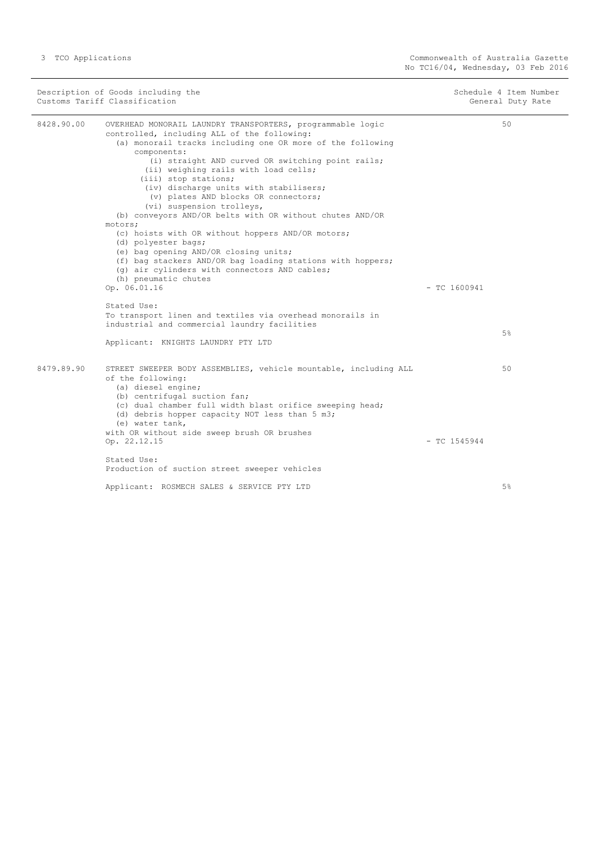|            | Description of Goods including the<br>Customs Tariff Classification                                                                                                                                                                                                                                                                                                                                                                                                                                                                                                                                                                                                                                                                                           |                | Schedule 4 Item Number<br>General Duty Rate |
|------------|---------------------------------------------------------------------------------------------------------------------------------------------------------------------------------------------------------------------------------------------------------------------------------------------------------------------------------------------------------------------------------------------------------------------------------------------------------------------------------------------------------------------------------------------------------------------------------------------------------------------------------------------------------------------------------------------------------------------------------------------------------------|----------------|---------------------------------------------|
| 8428.90.00 | OVERHEAD MONORAIL LAUNDRY TRANSPORTERS, programmable logic<br>controlled, including ALL of the following:<br>(a) monorail tracks including one OR more of the following<br>components:<br>(i) straight AND curved OR switching point rails;<br>(ii) weighing rails with load cells;<br>(iii) stop stations;<br>(iv) discharge units with stabilisers;<br>(v) plates AND blocks OR connectors;<br>(vi) suspension trolleys,<br>(b) conveyors AND/OR belts with OR without chutes AND/OR<br>motors;<br>(c) hoists with OR without hoppers AND/OR motors;<br>(d) polyester bags;<br>(e) bag opening AND/OR closing units;<br>(f) bag stackers AND/OR bag loading stations with hoppers;<br>(q) air cylinders with connectors AND cables;<br>(h) pneumatic chutes |                | 50                                          |
|            | Op. 06.01.16                                                                                                                                                                                                                                                                                                                                                                                                                                                                                                                                                                                                                                                                                                                                                  | $-$ TC 1600941 |                                             |
|            | Stated Use:<br>To transport linen and textiles via overhead monorails in<br>industrial and commercial laundry facilities<br>Applicant: KNIGHTS LAUNDRY PTY LTD                                                                                                                                                                                                                                                                                                                                                                                                                                                                                                                                                                                                |                | 5%                                          |
| 8479.89.90 | STREET SWEEPER BODY ASSEMBLIES, vehicle mountable, including ALL<br>of the following:<br>(a) diesel engine;<br>(b) centrifugal suction fan;<br>(c) dual chamber full width blast orifice sweeping head;<br>(d) debris hopper capacity NOT less than 5 m3;<br>(e) water tank,<br>with OR without side sweep brush OR brushes                                                                                                                                                                                                                                                                                                                                                                                                                                   |                | 50                                          |
|            | Op. 22.12.15                                                                                                                                                                                                                                                                                                                                                                                                                                                                                                                                                                                                                                                                                                                                                  | $-$ TC 1545944 |                                             |
|            | Stated Use:<br>Production of suction street sweeper vehicles                                                                                                                                                                                                                                                                                                                                                                                                                                                                                                                                                                                                                                                                                                  |                |                                             |
|            | Applicant: ROSMECH SALES & SERVICE PTY LTD                                                                                                                                                                                                                                                                                                                                                                                                                                                                                                                                                                                                                                                                                                                    |                | 5%                                          |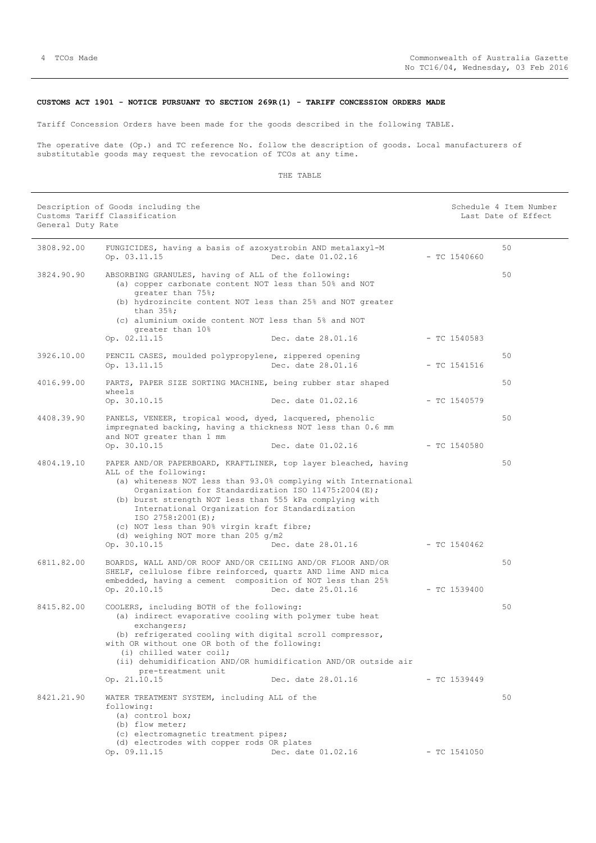# <span id="page-3-0"></span>**CUSTOMS ACT 1901 - NOTICE PURSUANT TO SECTION 269R(1) - TARIFF CONCESSION ORDERS MADE**

Tariff Concession Orders have been made for the goods described in the following TABLE.

The operative date (Op.) and TC reference No. follow the description of goods. Local manufacturers of substitutable goods may request the revocation of TCOs at any time.

| General Duty Rate | Description of Goods including the<br>Customs Tariff Classification                                                                                                                                                                                                                                                                                                                                                                                                       |                                          |                                | Schedule 4 Item Number<br>Last Date of Effect |
|-------------------|---------------------------------------------------------------------------------------------------------------------------------------------------------------------------------------------------------------------------------------------------------------------------------------------------------------------------------------------------------------------------------------------------------------------------------------------------------------------------|------------------------------------------|--------------------------------|-----------------------------------------------|
| 3808.92.00        | FUNGICIDES, having a basis of azoxystrobin AND metalaxyl-M<br>Op. 03.11.15                                                                                                                                                                                                                                                                                                                                                                                                | Dec. date 01.02.16                       | $-$ TC 1540660                 | 50                                            |
| 3824.90.90        | ABSORBING GRANULES, having of ALL of the following:<br>(a) copper carbonate content NOT less than 50% and NOT<br>qreater than 75%;<br>(b) hydrozincite content NOT less than 25% and NOT greater<br>than $35\$ ;<br>(c) aluminium oxide content NOT less than 5% and NOT<br>greater than 10%<br>Op. 02.11.15                                                                                                                                                              | Dec. date 28.01.16                       | $-$ TC 1540583                 | 50                                            |
| 3926.10.00        | PENCIL CASES, moulded polypropylene, zippered opening<br>Op. 13.11.15                                                                                                                                                                                                                                                                                                                                                                                                     | Dec. date 28.01.16                       | $-$ TC 1541516                 | 50                                            |
| 4016.99.00        | PARTS, PAPER SIZE SORTING MACHINE, being rubber star shaped<br>wheels<br>Op. 30.10.15                                                                                                                                                                                                                                                                                                                                                                                     | Dec. date 01.02.16                       | $-$ TC 1540579                 | 50                                            |
| 4408.39.90        | PANELS, VENEER, tropical wood, dyed, lacquered, phenolic<br>impregnated backing, having a thickness NOT less than 0.6 mm<br>and NOT greater than 1 mm                                                                                                                                                                                                                                                                                                                     |                                          |                                | 50                                            |
| 4804.19.10        | Op. 30.10.15<br>PAPER AND/OR PAPERBOARD, KRAFTLINER, top layer bleached, having<br>ALL of the following:<br>(a) whiteness NOT less than 93.0% complying with International<br>Organization for Standardization ISO 11475:2004(E);<br>(b) burst strength NOT less than 555 kPa complying with<br>International Organization for Standardization<br>ISO $2758:2001(E);$<br>(c) NOT less than 90% virgin kraft fibre;<br>(d) weighing NOT more than 205 g/m2<br>Op. 30.10.15 | Dec. date 01.02.16<br>Dec. date 28.01.16 | - TC 1540580<br>$-$ TC 1540462 | 50                                            |
| 6811.82.00        | BOARDS, WALL AND/OR ROOF AND/OR CEILING AND/OR FLOOR AND/OR<br>SHELF, cellulose fibre reinforced, quartz AND lime AND mica<br>embedded, having a cement composition of NOT less than 25%<br>Op. 20.10.15                                                                                                                                                                                                                                                                  | Dec. date 25.01.16                       | $-$ TC 1539400                 | 50                                            |
| 8415.82.00        | COOLERS, including BOTH of the following:<br>(a) indirect evaporative cooling with polymer tube heat<br>exchangers;<br>(b) refrigerated cooling with digital scroll compressor,<br>with OR without one OR both of the following:<br>(i) chilled water coil;<br>(ii) dehumidification AND/OR humidification AND/OR outside air<br>pre-treatment unit<br>Op. 21.10.15                                                                                                       | Dec. date 28.01.16                       | $-$ TC 1539449                 | 50                                            |
| 8421.21.90        | WATER TREATMENT SYSTEM, including ALL of the<br>following:<br>(a) control box;<br>(b) flow meter;<br>(c) electromagnetic treatment pipes;<br>(d) electrodes with copper rods OR plates<br>Op. 09.11.15                                                                                                                                                                                                                                                                    | Dec. date 01.02.16                       | $-$ TC 1541050                 | 50                                            |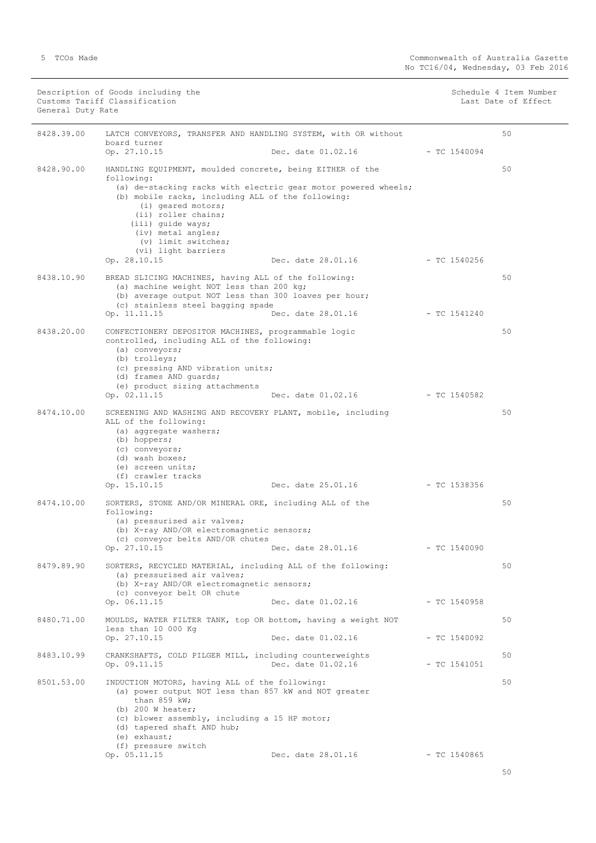| General Duty Rate | Customs Tariff Classification                                                                                                                                                                                                                      |                                   |                | Last Date of Effect |
|-------------------|----------------------------------------------------------------------------------------------------------------------------------------------------------------------------------------------------------------------------------------------------|-----------------------------------|----------------|---------------------|
| 8428.39.00        | LATCH CONVEYORS, TRANSFER AND HANDLING SYSTEM, with OR without<br>board turner                                                                                                                                                                     |                                   |                | 50                  |
|                   | Op. 27.10.15                                                                                                                                                                                                                                       | Dec. date $01.02.16$ - TC 1540094 |                |                     |
| 8428.90.00        | HANDLING EQUIPMENT, moulded concrete, being EITHER of the<br>following:<br>(a) de-stacking racks with electric gear motor powered wheels;                                                                                                          |                                   |                | 50                  |
|                   | (b) mobile racks, including ALL of the following:<br>(i) geared motors;<br>(ii) roller chains;<br>(iii) quide ways;<br>(iv) metal angles;<br>(v) limit switches;<br>(vi) light barriers                                                            |                                   |                |                     |
|                   | Op. 28.10.15                                                                                                                                                                                                                                       | Dec. date 28.01.16                | $-$ TC 1540256 |                     |
| 8438.10.90        | BREAD SLICING MACHINES, having ALL of the following:<br>(a) machine weight NOT less than 200 kg;<br>(b) average output NOT less than 300 loaves per hour;<br>(c) stainless steel bagging spade                                                     |                                   |                | 50                  |
|                   | Op. 11.11.15                                                                                                                                                                                                                                       | Dec. date 28.01.16                | $-$ TC 1541240 |                     |
| 8438.20.00        | CONFECTIONERY DEPOSITOR MACHINES, programmable logic<br>controlled, including ALL of the following:<br>(a) conveyors;<br>(b) trolleys;<br>(c) pressing AND vibration units;                                                                        |                                   |                | 50                  |
|                   | (d) frames AND quards;<br>(e) product sizing attachments                                                                                                                                                                                           |                                   |                |                     |
|                   | Op. 02.11.15                                                                                                                                                                                                                                       | Dec. date 01.02.16 - TC 1540582   |                |                     |
| 8474.10.00        | SCREENING AND WASHING AND RECOVERY PLANT, mobile, including<br>ALL of the following:<br>(a) aggregate washers;<br>(b) hoppers;<br>(c) conveyors;<br>(d) wash boxes;<br>(e) screen units;<br>(f) crawler tracks                                     |                                   |                | 50                  |
|                   | Op. 15.10.15                                                                                                                                                                                                                                       | Dec. date 25.01.16                | $-$ TC 1538356 |                     |
| 8474.10.00        | SORTERS, STONE AND/OR MINERAL ORE, including ALL of the<br>following:<br>(a) pressurised air valves;<br>(b) X-ray AND/OR electromagnetic sensors;<br>(c) conveyor belts AND/OR chutes                                                              |                                   |                | 50                  |
|                   | Op. 27.10.15                                                                                                                                                                                                                                       | Dec. date 28.01.16                | $- TC 1540090$ |                     |
| 8479.89.90        | SORTERS, RECYCLED MATERIAL, including ALL of the following:<br>(a) pressurised air valves;<br>(b) X-ray AND/OR electromagnetic sensors;                                                                                                            |                                   |                | 50                  |
|                   | (c) conveyor belt OR chute<br>Op. 06.11.15                                                                                                                                                                                                         | Dec. date 01.02.16                | - TC 1540958   |                     |
| 8480.71.00        | MOULDS, WATER FILTER TANK, top OR bottom, having a weight NOT<br>less than 10 000 Kg                                                                                                                                                               |                                   |                | 50                  |
|                   | Op. 27.10.15                                                                                                                                                                                                                                       | Dec. date 01.02.16                | $-$ TC 1540092 |                     |
| 8483.10.99        | CRANKSHAFTS, COLD PILGER MILL, including counterweights<br>Op. 09.11.15                                                                                                                                                                            | Dec. date 01.02.16                | $-$ TC 1541051 | 50                  |
| 8501.53.00        | INDUCTION MOTORS, having ALL of the following:<br>(a) power output NOT less than 857 kW and NOT greater<br>than 859 $kW$ ;<br>(b) $200$ W heater;<br>(c) blower assembly, including a 15 HP motor;<br>(d) tapered shaft AND hub;<br>$(e)$ exhaust; |                                   |                | 50                  |
|                   | (f) pressure switch<br>Op. 05.11.15                                                                                                                                                                                                                | Dec. date 28.01.16                | $-$ TC 1540865 |                     |

Description of Goods including the Schedule 4 Item Number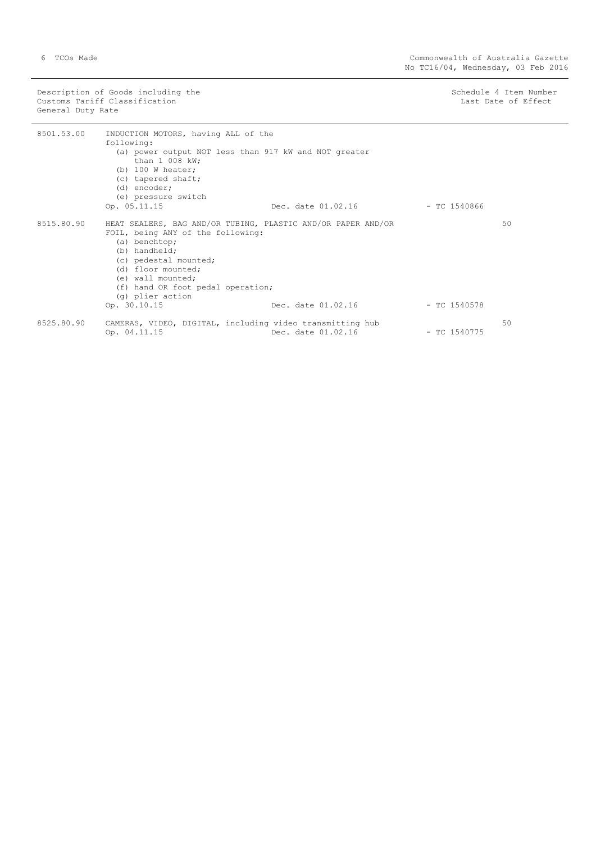Description of Goods including the Schedule 4 Item Number (Schedule 4 Item Number Customs Tariff Classification and the control of the control of the control of Effect Date of Effect General Duty Rate

| 8501.53.00 | INDUCTION MOTORS, having ALL of the<br>following:<br>(a) power output NOT less than 917 kW and NOT greater<br>than $1\,008$ kW;<br>(b) $100$ W heater;<br>(c) tapered shaft;<br>(d) encoder;<br>(e) pressure switch                                              |                    |                |    |
|------------|------------------------------------------------------------------------------------------------------------------------------------------------------------------------------------------------------------------------------------------------------------------|--------------------|----------------|----|
|            | Op. 05.11.15                                                                                                                                                                                                                                                     | Dec. date 01.02.16 | — ТС 1540866   |    |
| 8515.80.90 | HEAT SEALERS, BAG AND/OR TUBING, PLASTIC AND/OR PAPER AND/OR<br>FOIL, being ANY of the following:<br>(a) benchtop;<br>(b) handheld;<br>(c) pedestal mounted;<br>(d) floor mounted:<br>(e) wall mounted;<br>(f) hand OR foot pedal operation;<br>(q) plier action |                    |                | 50 |
|            | Op. 30.10.15                                                                                                                                                                                                                                                     | Dec. date 01.02.16 | - TC 1540578   |    |
| 8525.80.90 | CAMERAS, VIDEO, DIGITAL, including video transmitting hub<br>Op. 04.11.15                                                                                                                                                                                        | Dec. date 01.02.16 | $-$ TC 1540775 | 50 |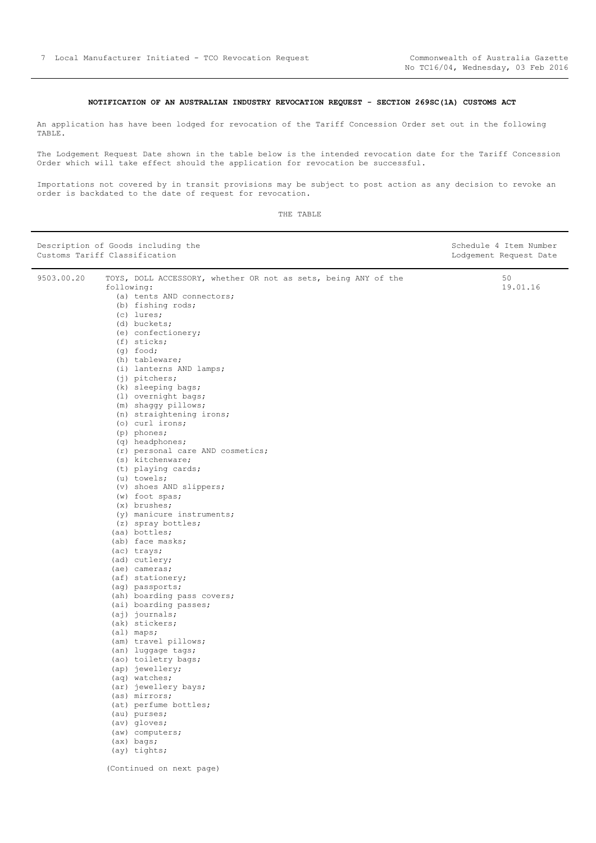# **NOTIFICATION OF AN AUSTRALIAN INDUSTRY REVOCATION REQUEST - SECTION 269SC(1A) CUSTOMS ACT**

<span id="page-6-0"></span>An application has have been lodged for revocation of the Tariff Concession Order set out in the following TABLE.

The Lodgement Request Date shown in the table below is the intended revocation date for the Tariff Concession Order which will take effect should the application for revocation be successful.

Importations not covered by in transit provisions may be subject to post action as any decision to revoke an order is backdated to the date of request for revocation.

| Description of Goods including the<br>Customs Tariff Classification |                                                                              | Schedule 4 Item Number<br>Lodgement Request Date |
|---------------------------------------------------------------------|------------------------------------------------------------------------------|--------------------------------------------------|
| 9503.00.20                                                          | TOYS, DOLL ACCESSORY, whether OR not as sets, being ANY of the<br>following: | 50<br>19.01.16                                   |
|                                                                     | (a) tents AND connectors;                                                    |                                                  |
|                                                                     | (b) fishing rods;                                                            |                                                  |
|                                                                     | $(c)$ lures;                                                                 |                                                  |
|                                                                     | (d) buckets;                                                                 |                                                  |
|                                                                     | (e) confectionery;                                                           |                                                  |
|                                                                     | (f) sticks;                                                                  |                                                  |
|                                                                     | $(q)$ food;                                                                  |                                                  |
|                                                                     | (h) tableware;                                                               |                                                  |
|                                                                     | (i) lanterns AND lamps;                                                      |                                                  |
|                                                                     | $(j)$ pitchers;                                                              |                                                  |
|                                                                     | (k) sleeping bags;                                                           |                                                  |
|                                                                     | (1) overnight bags;                                                          |                                                  |
|                                                                     | (m) shaqqy pillows;                                                          |                                                  |
|                                                                     | (n) straightening irons;                                                     |                                                  |
|                                                                     | (o) curl irons;                                                              |                                                  |
|                                                                     | (p) phones;                                                                  |                                                  |
|                                                                     | (q) headphones;                                                              |                                                  |
|                                                                     | (r) personal care AND cosmetics;                                             |                                                  |
|                                                                     | (s) kitchenware;                                                             |                                                  |
|                                                                     | (t) playing cards;                                                           |                                                  |
|                                                                     | (u) towels;                                                                  |                                                  |
|                                                                     | (v) shoes AND slippers;                                                      |                                                  |
|                                                                     | (w) foot spas;                                                               |                                                  |
|                                                                     | $(x)$ brushes;                                                               |                                                  |
|                                                                     | (y) manicure instruments;                                                    |                                                  |
|                                                                     | (z) spray bottles;                                                           |                                                  |
|                                                                     | (aa) bottles;                                                                |                                                  |
|                                                                     | (ab) face masks;                                                             |                                                  |
|                                                                     | (ac) trays;                                                                  |                                                  |
|                                                                     | (ad) cutlery;                                                                |                                                  |
|                                                                     | (ae) cameras;                                                                |                                                  |
|                                                                     | (af) stationery;                                                             |                                                  |
|                                                                     | (ag) passports;                                                              |                                                  |
|                                                                     | (ah) boarding pass covers;                                                   |                                                  |
|                                                                     | (ai) boarding passes;                                                        |                                                  |
|                                                                     | $(aj)$ journals;                                                             |                                                  |
|                                                                     | (ak) stickers;                                                               |                                                  |
|                                                                     | (al) maps;                                                                   |                                                  |
|                                                                     | (am) travel pillows;                                                         |                                                  |
|                                                                     | (an) luggage tags;                                                           |                                                  |
|                                                                     | (ao) toiletry bags;                                                          |                                                  |
|                                                                     | (ap) jewellery;                                                              |                                                  |
|                                                                     | (aq) watches;                                                                |                                                  |
|                                                                     | (ar) jewellery bays;                                                         |                                                  |
|                                                                     | (as) mirrors;<br>(at) perfume bottles;                                       |                                                  |
|                                                                     | (au) purses;                                                                 |                                                  |
|                                                                     | (av) gloves;                                                                 |                                                  |
|                                                                     | (aw) computers;                                                              |                                                  |
|                                                                     | $(ax)$ bags;                                                                 |                                                  |
|                                                                     | (ay) tights;                                                                 |                                                  |
|                                                                     |                                                                              |                                                  |
|                                                                     | (Continued on next page)                                                     |                                                  |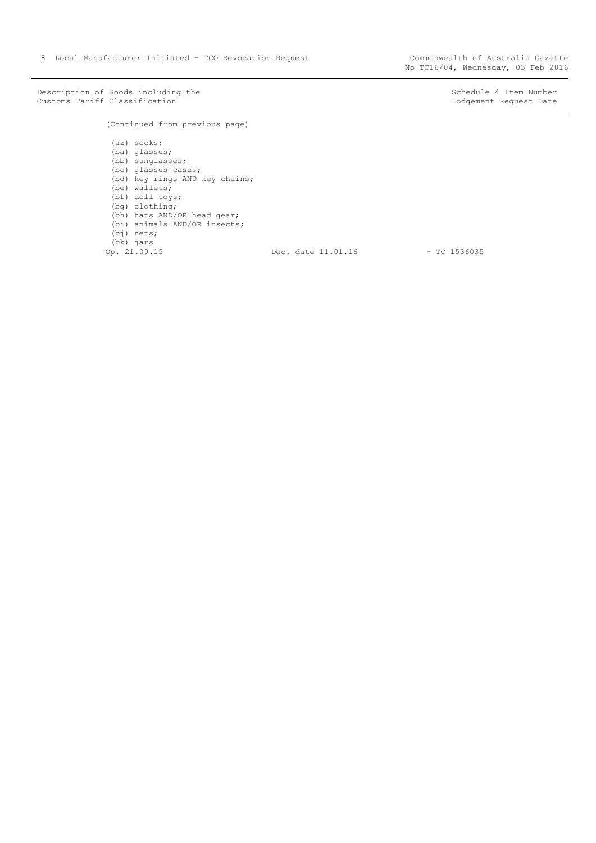Description of Goods including the Schedule 4 Item Number (Number Customs Tariff Classification and Schedule 4 Item Number Customs Tariff Classification Customs Tariff Classification

(Continued from previous page)

(az) socks; (ba) glasses; (bb) sunglasses; (bc) glasses cases; (bd) key rings AND key chains; (be) wallets; (bf) doll toys;  $(bg)$  clothing; (bh) hats AND/OR head gear; (bi) animals AND/OR insects; (bj) nets; (bk) jars<br>Op. 21.09.15 Dec. date 11.01.16 - TC 1536035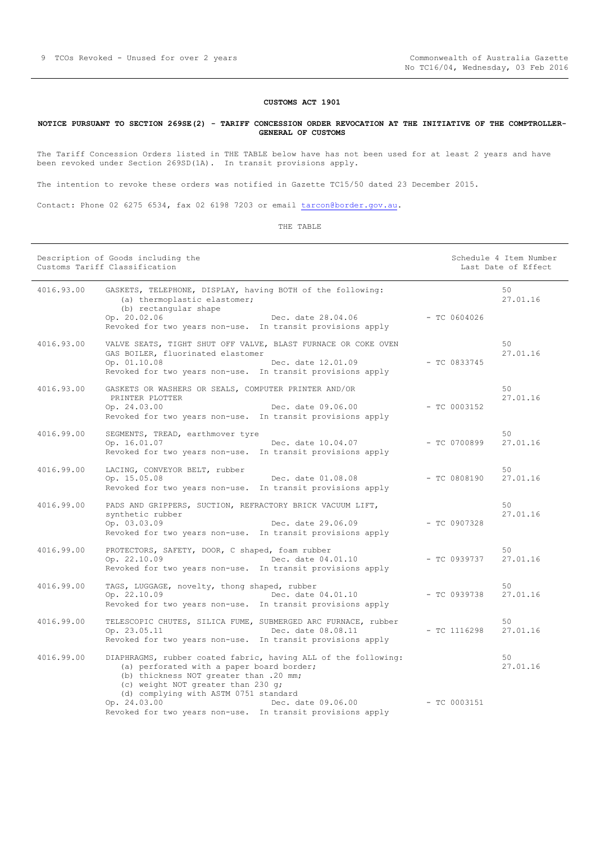### **CUSTOMS ACT 1901**

# <span id="page-8-0"></span>**NOTICE PURSUANT TO SECTION 269SE(2) - TARIFF CONCESSION ORDER REVOCATION AT THE INITIATIVE OF THE COMPTROLLER-GENERAL OF CUSTOMS**

The Tariff Concession Orders listed in THE TABLE below have has not been used for at least 2 years and have been revoked under Section 269SD(1A). In transit provisions apply.

The intention to revoke these orders was notified in Gazette TC15/50 dated 23 December 2015.

Contact: Phone 02 6275 6534, fax 02 6198 7203 or email [tarcon@border.gov.au.](mailto:tarcon@border.gov.au)

|            | Description of Goods including the<br>Customs Tariff Classification                                                                                                                                                                  |                | Schedule 4 Item Number<br>Last Date of Effect |
|------------|--------------------------------------------------------------------------------------------------------------------------------------------------------------------------------------------------------------------------------------|----------------|-----------------------------------------------|
| 4016.93.00 | GASKETS, TELEPHONE, DISPLAY, having BOTH of the following:<br>(a) thermoplastic elastomer;<br>(b) rectangular shape                                                                                                                  |                | 50<br>27.01.16                                |
|            | Op. 20.02.06<br>Dec. date 28.04.06<br>Revoked for two years non-use. In transit provisions apply                                                                                                                                     | $-$ TC 0604026 |                                               |
| 4016.93.00 | VALVE SEATS, TIGHT SHUT OFF VALVE, BLAST FURNACE OR COKE OVEN<br>GAS BOILER, fluorinated elastomer                                                                                                                                   |                | 50<br>27.01.16                                |
|            | Op. 01.10.08<br>Dec. date 12.01.09<br>Revoked for two years non-use. In transit provisions apply                                                                                                                                     | $-$ TC 0833745 |                                               |
| 4016.93.00 | GASKETS OR WASHERS OR SEALS, COMPUTER PRINTER AND/OR<br>PRINTER PLOTTER<br>Op. $24.03.00$<br>Dec. date 09.06.00                                                                                                                      | $-$ TC 0003152 | 50 <sup>°</sup><br>27.01.16                   |
|            | Revoked for two years non-use. In transit provisions apply                                                                                                                                                                           |                |                                               |
| 4016.99.00 | SEGMENTS, TREAD, earthmover tyre<br>Dec. date 10.04.07<br>Op. 16.01.07<br>Revoked for two years non-use. In transit provisions apply                                                                                                 | $-$ TC 0700899 | 50<br>27.01.16                                |
| 4016.99.00 | LACING, CONVEYOR BELT, rubber<br>Dec. date 01.08.08<br>Op. 15.05.08<br>Revoked for two years non-use. In transit provisions apply                                                                                                    | $-$ TC 0808190 | 50<br>27.01.16                                |
| 4016.99.00 | PADS AND GRIPPERS, SUCTION, REFRACTORY BRICK VACUUM LIFT,<br>synthetic rubber<br>Op. 03.03.09<br>Dec. date 29.06.09<br>Revoked for two years non-use. In transit provisions apply                                                    | $-$ TC 0907328 | 50 <sup>°</sup><br>27.01.16                   |
| 4016.99.00 | PROTECTORS, SAFETY, DOOR, C shaped, foam rubber<br>Op. 22.10.09<br>Dec. date 04.01.10<br>Revoked for two years non-use. In transit provisions apply                                                                                  | $-$ TC 0939737 | 50<br>27.01.16                                |
| 4016.99.00 | TAGS, LUGGAGE, novelty, thong shaped, rubber<br>Op. 22.10.09<br>Dec. date 04.01.10<br>Revoked for two years non-use. In transit provisions apply                                                                                     | $-$ TC 0939738 | 50<br>27.01.16                                |
| 4016.99.00 | TELESCOPIC CHUTES, SILICA FUME, SUBMERGED ARC FURNACE, rubber<br>Op. 23.05.11<br>Dec. date 08.08.11<br>Revoked for two years non-use. In transit provisions apply                                                                    | $-$ TC 1116298 | 50<br>27.01.16                                |
| 4016.99.00 | DIAPHRAGMS, rubber coated fabric, having ALL of the following:<br>(a) perforated with a paper board border;<br>(b) thickness NOT greater than .20 mm;<br>(c) weight NOT greater than 230 g;<br>(d) complying with ASTM 0751 standard |                | 50<br>27.01.16                                |
|            | Op. 24.03.00<br>Dec. date 09.06.00<br>Revoked for two years non-use. In transit provisions apply                                                                                                                                     | $-TC 0003151$  |                                               |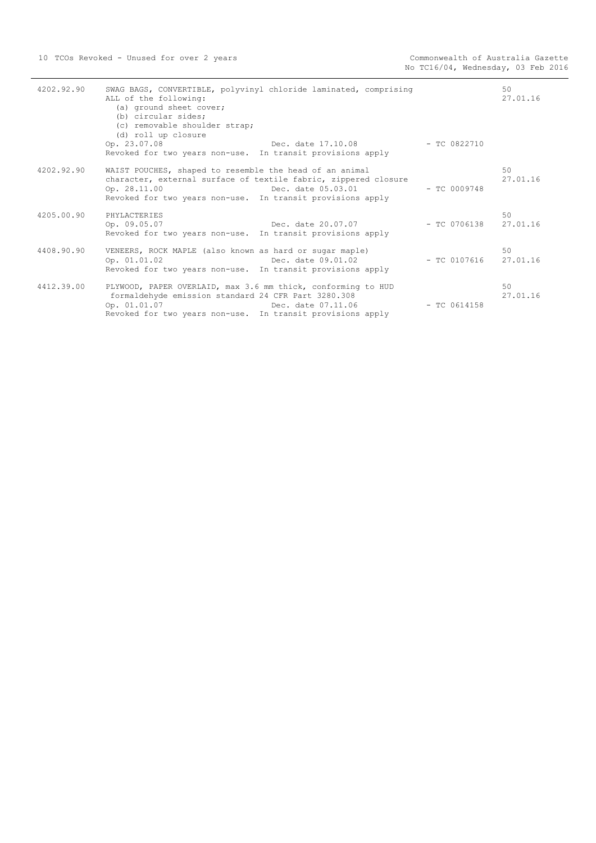| 4202.92.90 | SWAG BAGS, CONVERTIBLE, polyvinyl chloride laminated, comprising<br>ALL of the following:<br>(a) ground sheet cover;<br>(b) circular sides;<br>(c) removable shoulder strap;<br>(d) roll up closure                                         |                | 50<br>27.01.16 |
|------------|---------------------------------------------------------------------------------------------------------------------------------------------------------------------------------------------------------------------------------------------|----------------|----------------|
|            | Op. 23.07.08<br>Dec. date 17.10.08 - TC 0822710<br>Revoked for two years non-use. In transit provisions apply                                                                                                                               |                |                |
| 4202.92.90 | WAIST POUCHES, shaped to resemble the head of an animal<br>character, external surface of textile fabric, zippered closure<br>Dec. date 05.03.01 - TC 0009748<br>Op. 28.11.00<br>Revoked for two years non-use. In transit provisions apply |                | 50<br>27.01.16 |
| 4205.00.90 | PHYLACTERIES<br>Dec. date 20.07.07    - TC 0706138<br>Op. 09.05.07<br>Revoked for two years non-use. In transit provisions apply                                                                                                            |                | 50<br>27.01.16 |
| 4408.90.90 | VENEERS, ROCK MAPLE (also known as hard or sugar maple)<br>Dec. date $09.01.02$ - TC 0107616<br>Op. 01.01.02<br>Revoked for two years non-use. In transit provisions apply                                                                  |                | 50<br>27.01.16 |
| 4412.39.00 | PLYWOOD, PAPER OVERLAID, max 3.6 mm thick, conforming to HUD<br>formaldehyde emission standard 24 CFR Part 3280.308<br>Dec. date 07.11.06<br>Op. 01.01.07<br>Revoked for two years non-use. In transit provisions apply                     | $-$ TC 0614158 | 50<br>27.01.16 |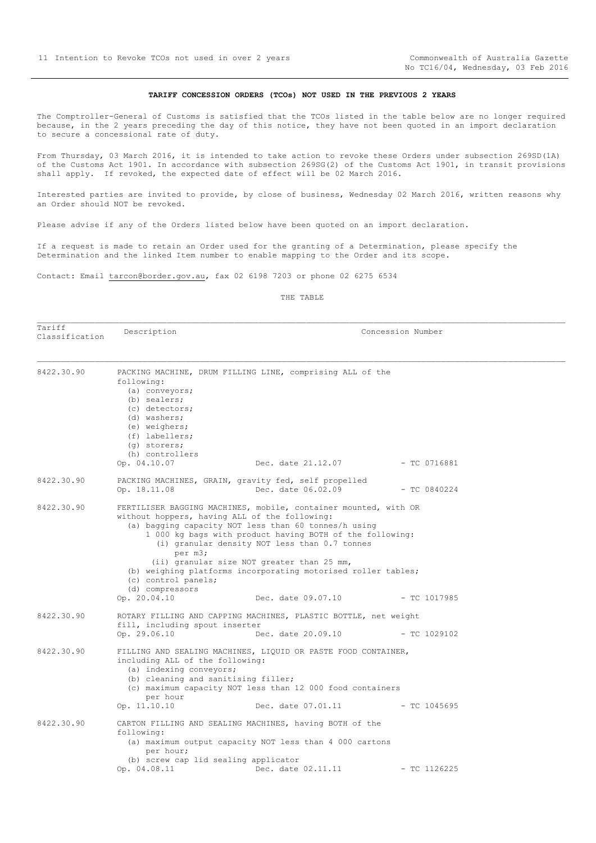### **TARIFF CONCESSION ORDERS (TCOs) NOT USED IN THE PREVIOUS 2 YEARS**

<span id="page-10-0"></span>The Comptroller-General of Customs is satisfied that the TCOs listed in the table below are no longer required because, in the 2 years preceding the day of this notice, they have not been quoted in an import declaration to secure a concessional rate of duty.

From Thursday, 03 March 2016, it is intended to take action to revoke these Orders under subsection 269SD(1A) of the Customs Act 1901. In accordance with subsection 269SG(2) of the Customs Act 1901, in transit provisions shall apply. If revoked, the expected date of effect will be 02 March 2016.

Interested parties are invited to provide, by close of business, Wednesday 02 March 2016, written reasons why an Order should NOT be revoked.

Please advise if any of the Orders listed below have been quoted on an import declaration.

If a request is made to retain an Order used for the granting of a Determination, please specify the Determination and the linked Item number to enable mapping to the Order and its scope.

Contact: Email tarcon@border.gov.au, fax 02 6198 7203 or phone 02 6275 6534

| Tariff<br>Classification | Description                                                                                                                                                          |                                                                                                                                                                                                                                                                                                                                                                                                                            | Concession Number |
|--------------------------|----------------------------------------------------------------------------------------------------------------------------------------------------------------------|----------------------------------------------------------------------------------------------------------------------------------------------------------------------------------------------------------------------------------------------------------------------------------------------------------------------------------------------------------------------------------------------------------------------------|-------------------|
| 8422.30.90               | following:<br>(a) conveyors;<br>(b) sealers;<br>(c) detectors;<br>(d) washers;<br>(e) weighers;<br>(f) labellers;<br>(q) storers;<br>(h) controllers<br>Op. 04.10.07 | PACKING MACHINE, DRUM FILLING LINE, comprising ALL of the<br>Dec. date 21.12.07                                                                                                                                                                                                                                                                                                                                            | $-$ TC 0716881    |
| 8422.30.90               | Op. 18.11.08                                                                                                                                                         | PACKING MACHINES, GRAIN, gravity fed, self propelled<br>Dec. date 06.02.09                                                                                                                                                                                                                                                                                                                                                 | $-$ TC 0840224    |
| 8422.30.90               | per m3;<br>(c) control panels;<br>(d) compressors<br>Op. 20.04.10                                                                                                    | FERTILISER BAGGING MACHINES, mobile, container mounted, with OR<br>without hoppers, having ALL of the following:<br>(a) bagging capacity NOT less than 60 tonnes/h using<br>1 000 kg bags with product having BOTH of the following:<br>(i) granular density NOT less than 0.7 tonnes<br>(ii) granular size NOT greater than 25 mm,<br>(b) weighing platforms incorporating motorised roller tables;<br>Dec. date 09.07.10 | - TC 1017985      |
| 8422.30.90               | fill, including spout inserter<br>Op. 29.06.10                                                                                                                       | ROTARY FILLING AND CAPPING MACHINES, PLASTIC BOTTLE, net weight<br>Dec. date 20.09.10                                                                                                                                                                                                                                                                                                                                      | $-$ TC 1029102    |
| 8422.30.90               | including ALL of the following:<br>(a) indexing conveyors;<br>(b) cleaning and sanitising filler;<br>per hour<br>Op. 11.10.10                                        | FILLING AND SEALING MACHINES, LIQUID OR PASTE FOOD CONTAINER,<br>(c) maximum capacity NOT less than 12 000 food containers<br>Dec. date 07.01.11                                                                                                                                                                                                                                                                           | $-$ TC 1045695    |
| 8422.30.90               | following:<br>per hour;<br>(b) screw cap lid sealing applicator<br>Op. 04.08.11                                                                                      | CARTON FILLING AND SEALING MACHINES, having BOTH of the<br>(a) maximum output capacity NOT less than 4 000 cartons<br>Dec. date 02.11.11                                                                                                                                                                                                                                                                                   | $-$ TC 1126225    |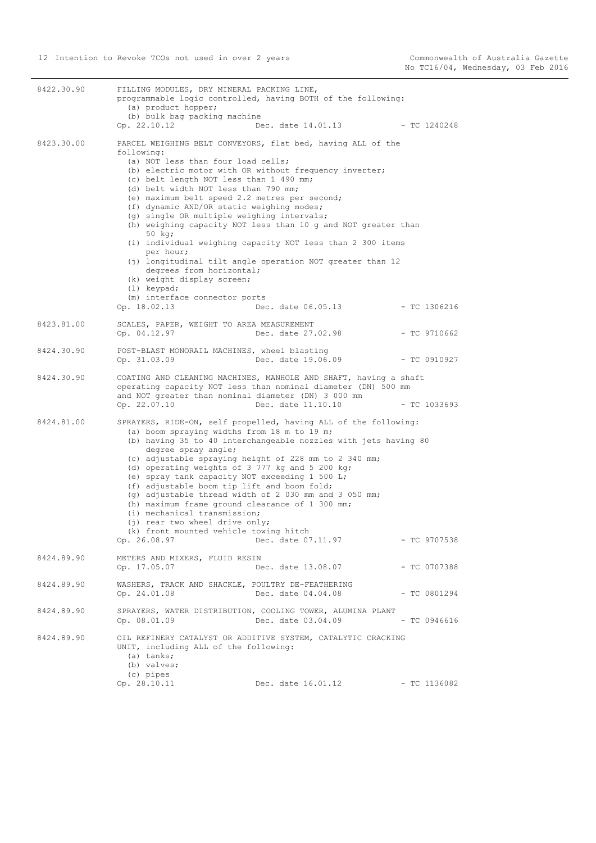| 8422.30.90 | FILLING MODULES, DRY MINERAL PACKING LINE,<br>programmable logic controlled, having BOTH of the following:<br>(a) product hopper;<br>(b) bulk bag packing machine<br>Op. 22.10.12                                                                                                                                                                                                                                                                                                                                                                                                          | Dec. date 14.01.13 - TC 1240248                                                                                                                                                                                |                |
|------------|--------------------------------------------------------------------------------------------------------------------------------------------------------------------------------------------------------------------------------------------------------------------------------------------------------------------------------------------------------------------------------------------------------------------------------------------------------------------------------------------------------------------------------------------------------------------------------------------|----------------------------------------------------------------------------------------------------------------------------------------------------------------------------------------------------------------|----------------|
| 8423.30.00 | PARCEL WEIGHING BELT CONVEYORS, flat bed, having ALL of the<br>following:<br>(a) NOT less than four load cells;<br>(b) electric motor with OR without frequency inverter;<br>(c) belt length NOT less than 1 490 mm;<br>(d) belt width NOT less than 790 mm;<br>(e) maximum belt speed 2.2 metres per second;<br>(f) dynamic AND/OR static weighing modes;<br>(g) single OR multiple weighing intervals;<br>50 kg;<br>per hour;<br>degrees from horizontal;<br>(k) weight display screen;<br>(1) keypad;<br>(m) interface connector ports<br>Op. 18.02.13                                  | (h) weighing capacity NOT less than 10 g and NOT greater than<br>(i) individual weighing capacity NOT less than 2 300 items<br>(j) longitudinal tilt angle operation NOT greater than 12<br>Dec. date 06.05.13 | $-$ TC 1306216 |
| 8423.81.00 | SCALES, PAPER, WEIGHT TO AREA MEASUREMENT<br>Op. 04.12.97                                                                                                                                                                                                                                                                                                                                                                                                                                                                                                                                  | Dec. date 27.02.98                                                                                                                                                                                             | $-$ TC 9710662 |
| 8424.30.90 | POST-BLAST MONORAIL MACHINES, wheel blasting<br>Op. 31.03.09                                                                                                                                                                                                                                                                                                                                                                                                                                                                                                                               | Dec. date 19.06.09                                                                                                                                                                                             | $-$ TC 0910927 |
| 8424.30.90 | COATING AND CLEANING MACHINES, MANHOLE AND SHAFT, having a shaft<br>operating capacity NOT less than nominal diameter (DN) 500 mm<br>and NOT greater than nominal diameter (DN) 3 000 mm<br>Op. 22.07.10                                                                                                                                                                                                                                                                                                                                                                                   | Dec. date 11.10.10                                                                                                                                                                                             | $-$ TC 1033693 |
| 8424.81.00 | SPRAYERS, RIDE-ON, self propelled, having ALL of the following:<br>(a) boom spraying widths from 18 m to 19 m;<br>degree spray angle;<br>(c) adjustable spraying height of 228 mm to 2 340 mm;<br>(d) operating weights of 3 777 kg and 5 200 kg;<br>(e) spray tank capacity NOT exceeding 1 500 L;<br>(f) adjustable boom tip lift and boom fold;<br>(g) adjustable thread width of 2 030 mm and 3 050 mm;<br>(h) maximum frame ground clearance of 1 300 mm;<br>(i) mechanical transmission;<br>(j) rear two wheel drive only;<br>(k) front mounted vehicle towing hitch<br>Op. 26.08.97 | (b) having 35 to 40 interchangeable nozzles with jets having 80<br>Dec. date 07.11.97                                                                                                                          | $-$ TC 9707538 |
| 8424.89.90 | METERS AND MIXERS, FLUID RESIN<br>Op. 17.05.07                                                                                                                                                                                                                                                                                                                                                                                                                                                                                                                                             | Dec. date 13.08.07                                                                                                                                                                                             | $-$ TC 0707388 |
| 8424.89.90 | WASHERS, TRACK AND SHACKLE, POULTRY DE-FEATHERING<br>Op. 24.01.08                                                                                                                                                                                                                                                                                                                                                                                                                                                                                                                          | Dec. date 04.04.08                                                                                                                                                                                             | $-$ TC 0801294 |
| 8424.89.90 | SPRAYERS, WATER DISTRIBUTION, COOLING TOWER, ALUMINA PLANT<br>Op. 08.01.09                                                                                                                                                                                                                                                                                                                                                                                                                                                                                                                 | Dec. date 03.04.09                                                                                                                                                                                             | $-$ TC 0946616 |
| 8424.89.90 | OIL REFINERY CATALYST OR ADDITIVE SYSTEM, CATALYTIC CRACKING<br>UNIT, including ALL of the following:<br>(a) tanks;<br>(b) valves;<br>(c) pipes<br>Op. 28.10.11                                                                                                                                                                                                                                                                                                                                                                                                                            | Dec. date 16.01.12                                                                                                                                                                                             | $-$ TC 1136082 |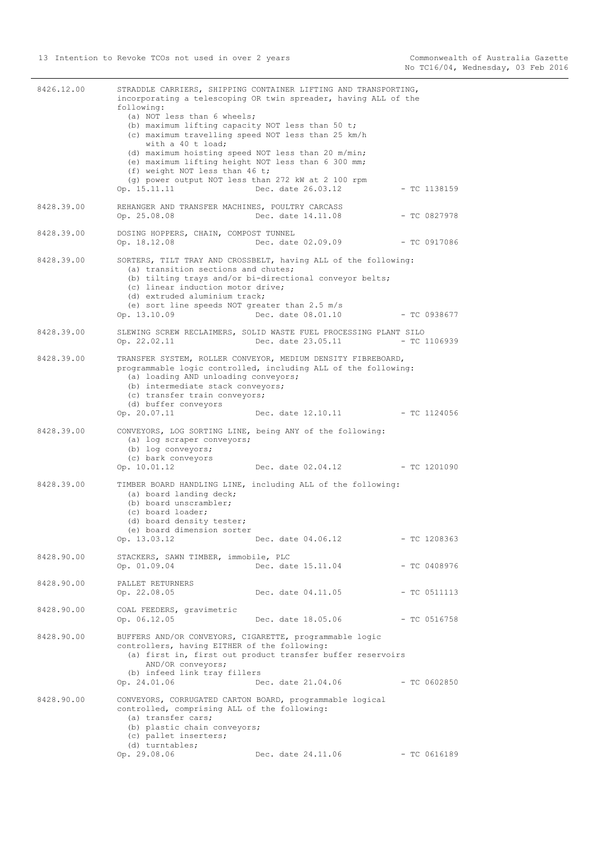| 8426.12.00 | following:<br>(a) NOT less than 6 wheels;<br>(b) maximum lifting capacity NOT less than 50 t;<br>(c) maximum travelling speed NOT less than 25 km/h<br>with a 40 t load;<br>(d) maximum hoisting speed NOT less than 20 m/min; | STRADDLE CARRIERS, SHIPPING CONTAINER LIFTING AND TRANSPORTING,<br>incorporating a telescoping OR twin spreader, having ALL of the              |                |
|------------|--------------------------------------------------------------------------------------------------------------------------------------------------------------------------------------------------------------------------------|-------------------------------------------------------------------------------------------------------------------------------------------------|----------------|
|            | (e) maximum lifting height NOT less than 6 300 mm;<br>(f) weight NOT less than 46 t;<br>(g) power output NOT less than 272 kW at 2 100 rpm<br>Op. 15.11.11                                                                     | Dec. date 26.03.12                                                                                                                              | $-$ TC 1138159 |
| 8428.39.00 | REHANGER AND TRANSFER MACHINES, POULTRY CARCASS<br>Op. 25.08.08                                                                                                                                                                | Dec. date 14.11.08                                                                                                                              | $-$ TC 0827978 |
| 8428.39.00 | DOSING HOPPERS, CHAIN, COMPOST TUNNEL<br>Op. 18.12.08                                                                                                                                                                          | Dec. date 02.09.09                                                                                                                              | $-$ TC 0917086 |
| 8428.39.00 | (a) transition sections and chutes;<br>(c) linear induction motor drive;<br>(d) extruded aluminium track;<br>(e) sort line speeds NOT greater than $2.5 \text{ m/s}$<br>Op. 13.10.09                                           | SORTERS, TILT TRAY AND CROSSBELT, having ALL of the following:<br>(b) tilting trays and/or bi-directional conveyor belts;<br>Dec. date 08.01.10 | $-$ TC 0938677 |
| 8428.39.00 | Op. 22.02.11                                                                                                                                                                                                                   | SLEWING SCREW RECLAIMERS, SOLID WASTE FUEL PROCESSING PLANT SILO<br>Dec. date 23.05.11                                                          | $-$ TC 1106939 |
| 8428.39.00 | (a) loading AND unloading conveyors;<br>(b) intermediate stack conveyors;<br>(c) transfer train conveyors;<br>(d) buffer conveyors                                                                                             | TRANSFER SYSTEM, ROLLER CONVEYOR, MEDIUM DENSITY FIBREBOARD,<br>programmable logic controlled, including ALL of the following:                  |                |
|            | Op. 20.07.11                                                                                                                                                                                                                   | Dec. date 12.10.11                                                                                                                              | $-$ TC 1124056 |
| 8428.39.00 | (a) log scraper conveyors;<br>(b) log conveyors;<br>(c) bark conveyors<br>Op. 10.01.12                                                                                                                                         | CONVEYORS, LOG SORTING LINE, being ANY of the following:<br>Dec. date 02.04.12 - TC 1201090                                                     |                |
| 8428.39.00 | (a) board landing deck;<br>(b) board unscrambler;<br>(c) board loader;<br>(d) board density tester;<br>(e) board dimension sorter<br>Op. 13.03.12                                                                              | TIMBER BOARD HANDLING LINE, including ALL of the following:<br>Dec. date 04.06.12                                                               | $-$ TC 1208363 |
| 8428.90.00 | STACKERS, SAWN TIMBER, immobile, PLC<br>Op. 01.09.04                                                                                                                                                                           | Dec. date 15.11.04                                                                                                                              | - TC 0408976   |
| 8428.90.00 | PALLET RETURNERS<br>Op. 22.08.05                                                                                                                                                                                               | Dec. date 04.11.05                                                                                                                              | $-$ TC 0511113 |
| 8428.90.00 | COAL FEEDERS, gravimetric<br>Op. 06.12.05                                                                                                                                                                                      | Dec. date 18.05.06                                                                                                                              | $-$ TC 0516758 |
| 8428.90.00 | BUFFERS AND/OR CONVEYORS, CIGARETTE, programmable logic<br>controllers, having EITHER of the following:<br>AND/OR conveyors;<br>(b) infeed link tray fillers<br>Op. 24.01.06                                                   | (a) first in, first out product transfer buffer reservoirs<br>Dec. date 21.04.06                                                                | $-$ TC 0602850 |
| 8428.90.00 | controlled, comprising ALL of the following:<br>(a) transfer cars;<br>(b) plastic chain conveyors;<br>(c) pallet inserters;<br>(d) turntables;<br>Op. 29.08.06                                                                 | CONVEYORS, CORRUGATED CARTON BOARD, programmable logical<br>Dec. date 24.11.06                                                                  | $-$ TC 0616189 |
|            |                                                                                                                                                                                                                                |                                                                                                                                                 |                |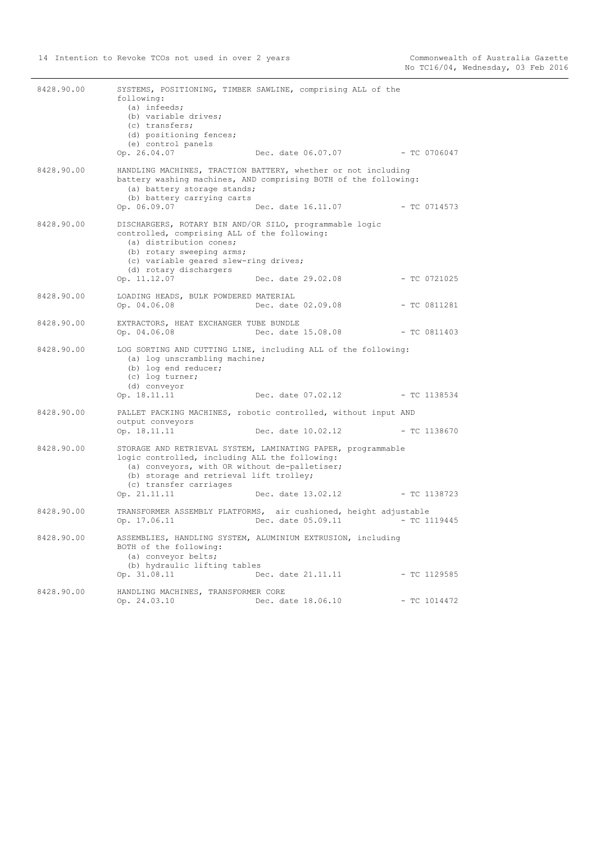| 8428.90.00 | following:<br>$(a)$ infeeds;<br>(b) variable drives;<br>(c) transfers;<br>(d) positioning fences;<br>(e) control panels<br>Op. 26.04.07                                                                                                            | SYSTEMS, POSITIONING, TIMBER SAWLINE, comprising ALL of the<br>Dec. date 06.07.07 - TC 0706047                                                         |                |
|------------|----------------------------------------------------------------------------------------------------------------------------------------------------------------------------------------------------------------------------------------------------|--------------------------------------------------------------------------------------------------------------------------------------------------------|----------------|
| 8428.90.00 | (a) battery storage stands;<br>(b) battery carrying carts<br>Op. 06.09.07                                                                                                                                                                          | HANDLING MACHINES, TRACTION BATTERY, whether or not including<br>battery washing machines, AND comprising BOTH of the following:<br>Dec. date 16.11.07 | - TC 0714573   |
| 8428.90.00 | DISCHARGERS, ROTARY BIN AND/OR SILO, programmable logic<br>controlled, comprising ALL of the following:<br>(a) distribution cones;<br>(b) rotary sweeping arms;<br>(c) variable geared slew-ring drives;<br>(d) rotary dischargers<br>Op. 11.12.07 | Dec. date 29.02.08                                                                                                                                     | $-$ TC 0721025 |
| 8428.90.00 | LOADING HEADS, BULK POWDERED MATERIAL<br>Op. 04.06.08                                                                                                                                                                                              | Dec. date 02.09.08                                                                                                                                     | $-$ TC 0811281 |
| 8428.90.00 | EXTRACTORS, HEAT EXCHANGER TUBE BUNDLE<br>Op. 04.06.08                                                                                                                                                                                             | Dec. date 15.08.08                                                                                                                                     | $-TC 0811403$  |
| 8428.90.00 | (a) log unscrambling machine;<br>(b) log end reducer;<br>(c) log turner;<br>(d) conveyor<br>Op. 18.11.11                                                                                                                                           | LOG SORTING AND CUTTING LINE, including ALL of the following:<br>Dec. date 07.02.12                                                                    | - TC 1138534   |
| 8428.90.00 | output conveyors<br>Op. 18.11.11                                                                                                                                                                                                                   | PALLET PACKING MACHINES, robotic controlled, without input AND<br>Dec. date 10.02.12                                                                   | - TC 1138670   |
| 8428.90.00 | logic controlled, including ALL the following:<br>(a) conveyors, with OR without de-palletiser;<br>(b) storage and retrieval lift trolley;<br>(c) transfer carriages<br>Op. 21.11.11                                                               | STORAGE AND RETRIEVAL SYSTEM, LAMINATING PAPER, programmable<br>Dec. date 13.02.12                                                                     | $-$ TC 1138723 |
| 8428.90.00 | Op. 17.06.11                                                                                                                                                                                                                                       | TRANSFORMER ASSEMBLY PLATFORMS, air cushioned, height adjustable<br>Dec. date 05.09.11                                                                 | $-$ TC 1119445 |
| 8428.90.00 | BOTH of the following:<br>(a) conveyor belts;<br>(b) hydraulic lifting tables<br>Op. 31.08.11                                                                                                                                                      | ASSEMBLIES, HANDLING SYSTEM, ALUMINIUM EXTRUSION, including<br>Dec. date 21.11.11                                                                      | $-$ TC 1129585 |
| 8428.90.00 | HANDLING MACHINES, TRANSFORMER CORE<br>Op. 24.03.10                                                                                                                                                                                                | Dec. date 18.06.10                                                                                                                                     | $-$ TC 1014472 |